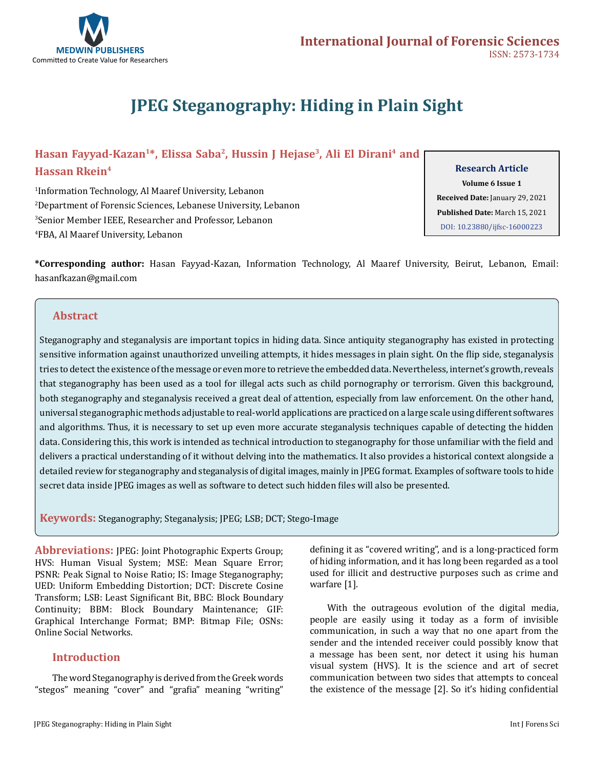

# **JPEG Steganography: Hiding in Plain Sight**

# Hasan Fayyad-Kazan<sup>1\*</sup>, Elissa Saba<sup>2</sup>, Hussin J Hejase<sup>3</sup>, Ali El Dirani<sup>4</sup> and **Hassan Rkein4**

 Information Technology, Al Maaref University, Lebanon Department of Forensic Sciences, Lebanese University, Lebanon Senior Member IEEE, Researcher and Professor, Lebanon FBA, Al Maaref University, Lebanon

#### **Research Article**

**Volume 6 Issue 1 Received Date:** January 29, 2021 **Published Date:** March 15, 2021 [DOI: 10.23880/ijfsc-16000223](https://doi.org/10.23880/ijfsc-16000223)

**\*Corresponding author:** Hasan Fayyad-Kazan, Information Technology, Al Maaref University, Beirut, Lebanon, Email: hasanfkazan@gmail.com

# **Abstract**

Steganography and steganalysis are important topics in hiding data. Since antiquity steganography has existed in protecting sensitive information against unauthorized unveiling attempts, it hides messages in plain sight. On the flip side, steganalysis tries to detect the existence of the message or even more to retrieve the embedded data. Nevertheless, internet's growth, reveals that steganography has been used as a tool for illegal acts such as child pornography or terrorism. Given this background, both steganography and steganalysis received a great deal of attention, especially from law enforcement. On the other hand, universal steganographic methods adjustable to real-world applications are practiced on a large scale using different softwares and algorithms. Thus, it is necessary to set up even more accurate steganalysis techniques capable of detecting the hidden data. Considering this, this work is intended as technical introduction to steganography for those unfamiliar with the field and delivers a practical understanding of it without delving into the mathematics. It also provides a historical context alongside a detailed review for steganography and steganalysis of digital images, mainly in JPEG format. Examples of software tools to hide secret data inside JPEG images as well as software to detect such hidden files will also be presented.

**Keywords:** Steganography; Steganalysis; JPEG; LSB; DCT; Stego-Image

**Abbreviations:** JPEG: Joint Photographic Experts Group; HVS: Human Visual System; MSE: Mean Square Error; PSNR: Peak Signal to Noise Ratio; IS: Image Steganography; UED: Uniform Embedding Distortion; DCT: Discrete Cosine Transform; LSB: Least Significant Bit, BBC: Block Boundary Continuity; BBM: Block Boundary Maintenance; GIF: Graphical Interchange Format; BMP: Bitmap File; OSNs: Online Social Networks.

## **Introduction**

The word Steganography is derived from the Greek words "stegos" meaning "cover" and "grafia" meaning "writing"

defining it as "covered writing", and is a long-practiced form of hiding information, and it has long been regarded as a tool used for illicit and destructive purposes such as crime and warfare [1].

With the outrageous evolution of the digital media, people are easily using it today as a form of invisible communication, in such a way that no one apart from the sender and the intended receiver could possibly know that a message has been sent, nor detect it using his human visual system (HVS). It is the science and art of secret communication between two sides that attempts to conceal the existence of the message [2]. So it's hiding confidential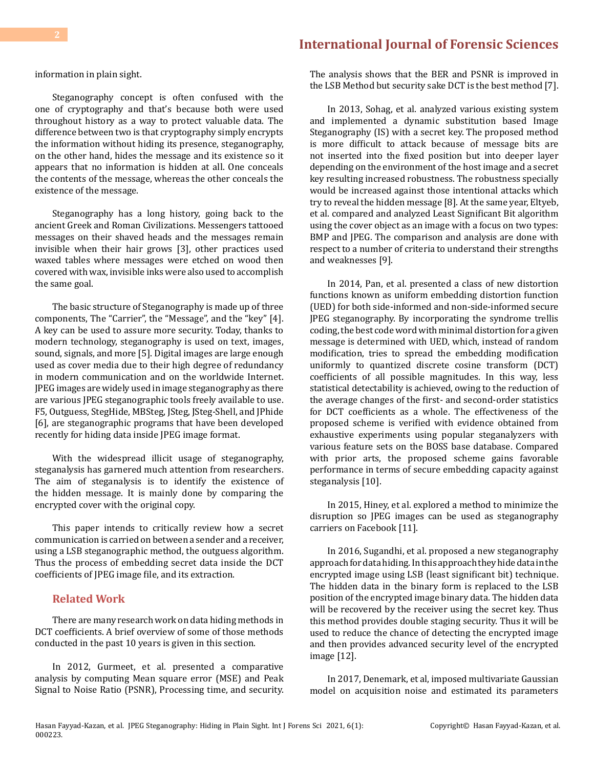information in plain sight.

Steganography concept is often confused with the one of cryptography and that's because both were used throughout history as a way to protect valuable data. The difference between two is that cryptography simply encrypts the information without hiding its presence, steganography, on the other hand, hides the message and its existence so it appears that no information is hidden at all. One conceals the contents of the message, whereas the other conceals the existence of the message.

Steganography has a long history, going back to the ancient Greek and Roman Civilizations. Messengers tattooed messages on their shaved heads and the messages remain invisible when their hair grows [3], other practices used waxed tables where messages were etched on wood then covered with wax, invisible inks were also used to accomplish the same goal.

The basic structure of Steganography is made up of three components, The "Carrier", the "Message", and the "key" [4]. A key can be used to assure more security. Today, thanks to modern technology, steganography is used on text, images, sound, signals, and more [5]. Digital images are large enough used as cover media due to their high degree of redundancy in modern communication and on the worldwide Internet. JPEG images are widely used in image steganography as there are various JPEG steganographic tools freely available to use. F5, Outguess, StegHide, MBSteg, JSteg, JSteg-Shell, and JPhide [6], are steganographic programs that have been developed recently for hiding data inside JPEG image format.

With the widespread illicit usage of steganography, steganalysis has garnered much attention from researchers. The aim of steganalysis is to identify the existence of the hidden message. It is mainly done by comparing the encrypted cover with the original copy.

This paper intends to critically review how a secret communication is carried on between a sender and a receiver, using a LSB steganographic method, the outguess algorithm. Thus the process of embedding secret data inside the DCT coefficients of JPEG image file, and its extraction.

## **Related Work**

There are many research work on data hiding methods in DCT coefficients. A brief overview of some of those methods conducted in the past 10 years is given in this section.

In 2012, Gurmeet, et al. presented a comparative analysis by computing Mean square error (MSE) and Peak Signal to Noise Ratio (PSNR), Processing time, and security. The analysis shows that the BER and PSNR is improved in the LSB Method but security sake DCT is the best method [7].

In 2013, Sohag, et al. analyzed various existing system and implemented a dynamic substitution based Image Steganography (IS) with a secret key. The proposed method is more difficult to attack because of message bits are not inserted into the fixed position but into deeper layer depending on the environment of the host image and a secret key resulting increased robustness. The robustness specially would be increased against those intentional attacks which try to reveal the hidden message [8]. At the same year, Eltyeb, et al. compared and analyzed Least Significant Bit algorithm using the cover object as an image with a focus on two types: BMP and JPEG. The comparison and analysis are done with respect to a number of criteria to understand their strengths and weaknesses [9].

In 2014, Pan, et al. presented a class of new distortion functions known as uniform embedding distortion function (UED) for both side-informed and non-side-informed secure JPEG steganography. By incorporating the syndrome trellis coding, the best code word with minimal distortion for a given message is determined with UED, which, instead of random modification, tries to spread the embedding modification uniformly to quantized discrete cosine transform (DCT) coefficients of all possible magnitudes. In this way, less statistical detectability is achieved, owing to the reduction of the average changes of the first- and second-order statistics for DCT coefficients as a whole. The effectiveness of the proposed scheme is verified with evidence obtained from exhaustive experiments using popular steganalyzers with various feature sets on the BOSS base database. Compared with prior arts, the proposed scheme gains favorable performance in terms of secure embedding capacity against steganalysis [10].

In 2015, Hiney, et al. explored a method to minimize the disruption so JPEG images can be used as steganography carriers on Facebook [11].

In 2016, Sugandhi, et al. proposed a new steganography approach for data hiding. In this approach they hide data in the encrypted image using LSB (least significant bit) technique. The hidden data in the binary form is replaced to the LSB position of the encrypted image binary data. The hidden data will be recovered by the receiver using the secret key. Thus this method provides double staging security. Thus it will be used to reduce the chance of detecting the encrypted image and then provides advanced security level of the encrypted image [12].

In 2017, Denemark, et al, imposed multivariate Gaussian model on acquisition noise and estimated its parameters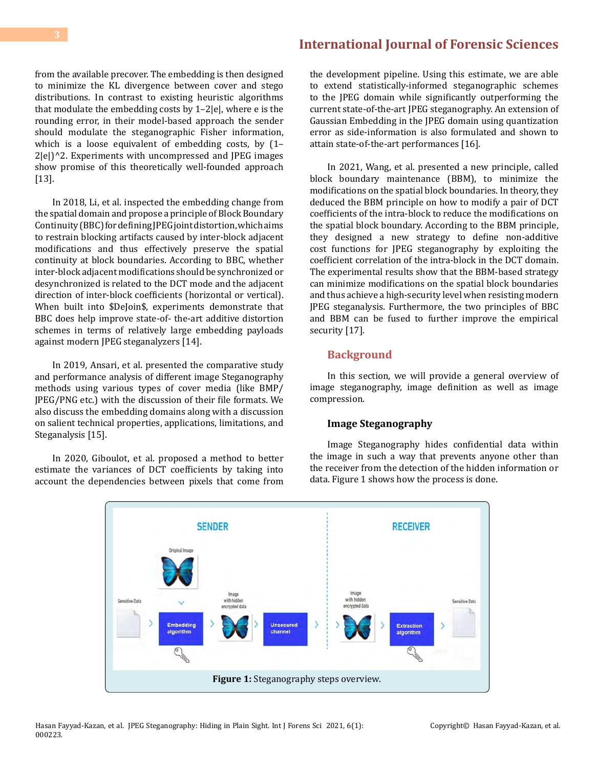from the available precover. The embedding is then designed to minimize the KL divergence between cover and stego distributions. In contrast to existing heuristic algorithms that modulate the embedding costs by 1–2|e|, where e is the rounding error, in their model-based approach the sender should modulate the steganographic Fisher information, which is a loose equivalent of embedding costs, by (1– 2|e|)^2. Experiments with uncompressed and JPEG images show promise of this theoretically well-founded approach [13].

In 2018, Li, et al. inspected the embedding change from the spatial domain and propose a principle of Block Boundary Continuity (BBC) for defining JPEG joint distortion, which aims to restrain blocking artifacts caused by inter-block adjacent modifications and thus effectively preserve the spatial continuity at block boundaries. According to BBC, whether inter-block adjacent modifications should be synchronized or desynchronized is related to the DCT mode and the adjacent direction of inter-block coefficients (horizontal or vertical). When built into \$DeJoin\$, experiments demonstrate that BBC does help improve state-of- the-art additive distortion schemes in terms of relatively large embedding payloads against modern JPEG steganalyzers [14].

In 2019, Ansari, et al. presented the comparative study and performance analysis of different image Steganography methods using various types of cover media (like BMP/ JPEG/PNG etc.) with the discussion of their file formats. We also discuss the embedding domains along with a discussion on salient technical properties, applications, limitations, and Steganalysis [15].

In 2020, Giboulot, et al. proposed a method to better estimate the variances of DCT coefficients by taking into account the dependencies between pixels that come from

the development pipeline. Using this estimate, we are able to extend statistically-informed steganographic schemes to the JPEG domain while significantly outperforming the current state-of-the-art JPEG steganography. An extension of Gaussian Embedding in the JPEG domain using quantization error as side-information is also formulated and shown to attain state-of-the-art performances [16].

In 2021, Wang, et al. presented a new principle, called block boundary maintenance (BBM), to minimize the modifications on the spatial block boundaries. In theory, they deduced the BBM principle on how to modify a pair of DCT coefficients of the intra-block to reduce the modifications on the spatial block boundary. According to the BBM principle, they designed a new strategy to define non-additive cost functions for JPEG steganography by exploiting the coefficient correlation of the intra-block in the DCT domain. The experimental results show that the BBM-based strategy can minimize modifications on the spatial block boundaries and thus achieve a high-security level when resisting modern JPEG steganalysis. Furthermore, the two principles of BBC and BBM can be fused to further improve the empirical security [17].

#### **Background**

In this section, we will provide a general overview of image steganography, image definition as well as image compression.

#### **Image Steganography**

Image Steganography hides confidential data within the image in such a way that prevents anyone other than the receiver from the detection of the hidden information or data. Figure 1 shows how the process is done.

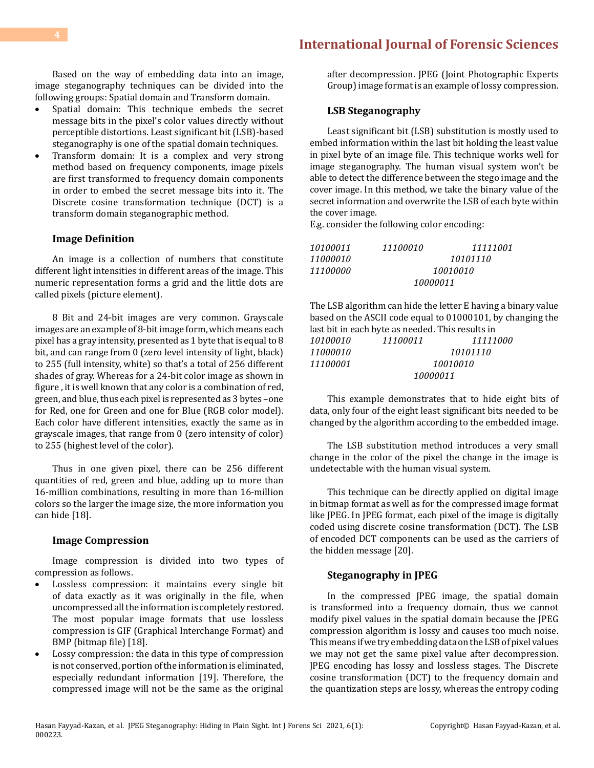Based on the way of embedding data into an image, image steganography techniques can be divided into the following groups: Spatial domain and Transform domain.

- • Spatial domain: This technique embeds the secret message bits in the pixel's color values directly without perceptible distortions. Least significant bit (LSB)-based steganography is one of the spatial domain techniques.
- Transform domain: It is a complex and very strong method based on frequency components, image pixels are first transformed to frequency domain components in order to embed the secret message bits into it. The Discrete cosine transformation technique (DCT) is a transform domain steganographic method.

#### **Image Definition**

An image is a collection of numbers that constitute different light intensities in different areas of the image. This numeric representation forms a grid and the little dots are called pixels (picture element).

8 Bit and 24-bit images are very common. Grayscale images are an example of 8-bit image form, which means each pixel has a gray intensity, presented as 1 byte that is equal to 8 bit, and can range from 0 (zero level intensity of light, black) to 255 (full intensity, white) so that's a total of 256 different shades of gray. Whereas for a 24-bit color image as shown in figure , it is well known that any color is a combination of red, green, and blue, thus each pixel is represented as 3 bytes –one for Red, one for Green and one for Blue (RGB color model). Each color have different intensities, exactly the same as in grayscale images, that range from 0 (zero intensity of color) to 255 (highest level of the color).

Thus in one given pixel, there can be 256 different quantities of red, green and blue, adding up to more than 16-million combinations, resulting in more than 16-million colors so the larger the image size, the more information you can hide [18].

#### **Image Compression**

Image compression is divided into two types of compression as follows.

- Lossless compression: it maintains every single bit of data exactly as it was originally in the file, when uncompressed all the information is completely restored. The most popular image formats that use lossless compression is GIF (Graphical Interchange Format) and BMP (bitmap file) [18].
- Lossy compression: the data in this type of compression is not conserved, portion of the information is eliminated, especially redundant information [19]. Therefore, the compressed image will not be the same as the original

after decompression. JPEG (Joint Photographic Experts Group) image format is an example of lossy compression.

#### **LSB Steganography**

Least significant bit (LSB) substitution is mostly used to embed information within the last bit holding the least value in pixel byte of an image file. This technique works well for image steganography. The human visual system won't be able to detect the difference between the stego image and the cover image. In this method, we take the binary value of the secret information and overwrite the LSB of each byte within the cover image.

E.g. consider the following color encoding:

| 10100011 | 11100010 | 11111001 |  |
|----------|----------|----------|--|
| 11000010 |          | 10101110 |  |
| 11100000 | 10010010 |          |  |
|          | 10000011 |          |  |

The LSB algorithm can hide the letter E having a binary value based on the ASCII code equal to 01000101, by changing the last bit in each byte as needed. This results in  $10100010$  11100011 11111

| 10100010 | 11100011 | 11111000 |  |
|----------|----------|----------|--|
| 11000010 |          | 10101110 |  |
| 11100001 | 10010010 |          |  |
|          | 10000011 |          |  |

This example demonstrates that to hide eight bits of data, only four of the eight least significant bits needed to be changed by the algorithm according to the embedded image.

The LSB substitution method introduces a very small change in the color of the pixel the change in the image is undetectable with the human visual system.

This technique can be directly applied on digital image in bitmap format as well as for the compressed image format like JPEG. In JPEG format, each pixel of the image is digitally coded using discrete cosine transformation (DCT). The LSB of encoded DCT components can be used as the carriers of the hidden message [20].

#### **Steganography in JPEG**

In the compressed JPEG image, the spatial domain is transformed into a frequency domain, thus we cannot modify pixel values in the spatial domain because the JPEG compression algorithm is lossy and causes too much noise. This means if we try embedding data on the LSB of pixel values we may not get the same pixel value after decompression. JPEG encoding has lossy and lossless stages. The Discrete cosine transformation (DCT) to the frequency domain and the quantization steps are lossy, whereas the entropy coding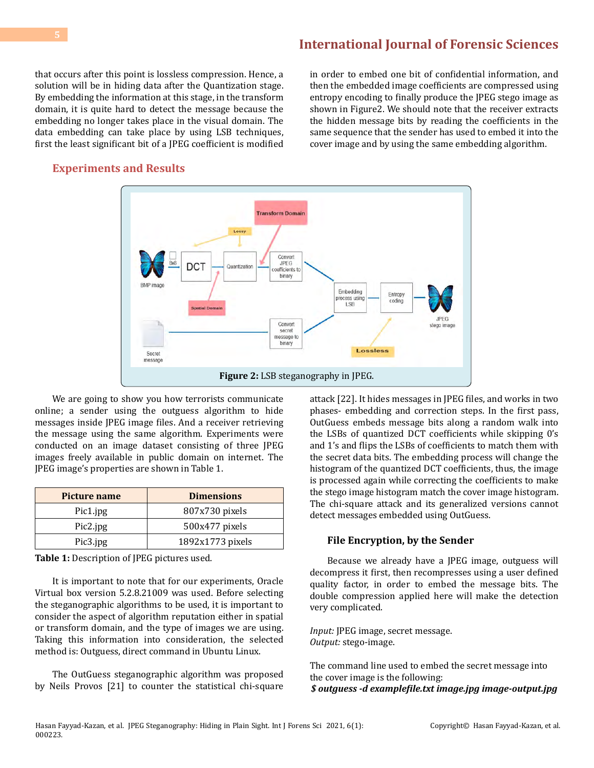that occurs after this point is lossless compression. Hence, a solution will be in hiding data after the Quantization stage. By embedding the information at this stage, in the transform domain, it is quite hard to detect the message because the embedding no longer takes place in the visual domain. The data embedding can take place by using LSB techniques, first the least significant bit of a JPEG coefficient is modified

in order to embed one bit of confidential information, and then the embedded image coefficients are compressed using entropy encoding to finally produce the JPEG stego image as shown in Figure2. We should note that the receiver extracts the hidden message bits by reading the coefficients in the same sequence that the sender has used to embed it into the cover image and by using the same embedding algorithm.

### **Experiments and Results**



We are going to show you how terrorists communicate online; a sender using the outguess algorithm to hide messages inside JPEG image files. And a receiver retrieving the message using the same algorithm. Experiments were conducted on an image dataset consisting of three JPEG images freely available in public domain on internet. The JPEG image's properties are shown in Table 1.

| Picture name | <b>Dimensions</b> |
|--------------|-------------------|
| Pic1.jpg     | 807x730 pixels    |
| Pic2.jpg     | 500x477 pixels    |
| Pic3.jpg     | 1892x1773 pixels  |

**Table 1:** Description of JPEG pictures used.

It is important to note that for our experiments, Oracle Virtual box version 5.2.8.21009 was used. Before selecting the steganographic algorithms to be used, it is important to consider the aspect of algorithm reputation either in spatial or transform domain, and the type of images we are using. Taking this information into consideration, the selected method is: Outguess, direct command in Ubuntu Linux.

The OutGuess steganographic algorithm was proposed by Neils Provos [21] to counter the statistical chi-square attack [22]. It hides messages in JPEG files, and works in two phases- embedding and correction steps. In the first pass, OutGuess embeds message bits along a random walk into the LSBs of quantized DCT coefficients while skipping 0's and 1's and flips the LSBs of coefficients to match them with the secret data bits. The embedding process will change the histogram of the quantized DCT coefficients, thus, the image is processed again while correcting the coefficients to make the stego image histogram match the cover image histogram. The chi-square attack and its generalized versions cannot detect messages embedded using OutGuess.

#### **File Encryption, by the Sender**

Because we already have a JPEG image, outguess will decompress it first, then recompresses using a user defined quality factor, in order to embed the message bits. The double compression applied here will make the detection very complicated.

*Input:* JPEG image, secret message. *Output:* stego-image.

The command line used to embed the secret message into the cover image is the following: *\$ outguess -d examplefile.txt image.jpg image-output.jpg*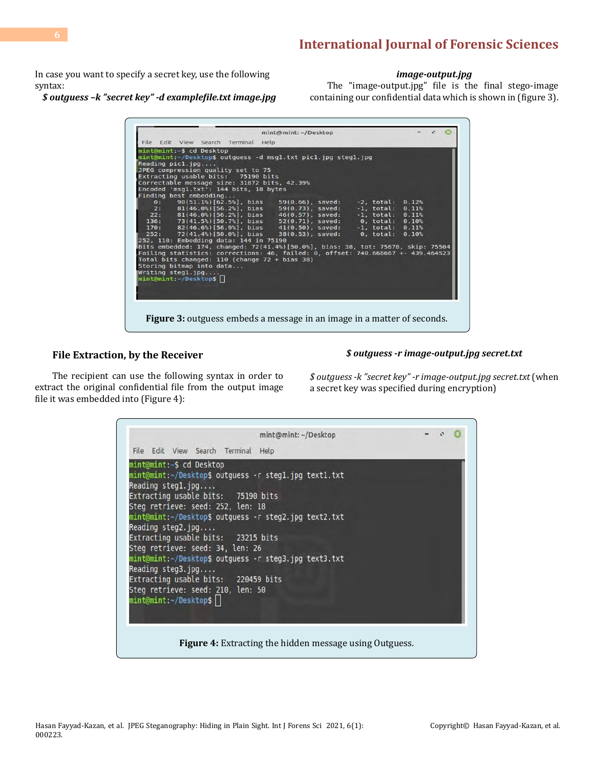In case you want to specify a secret key, use the following syntax:

*\$ outguess –k "secret key" -d examplefile.txt image.jpg* 

#### *image-output.jpg*

The "image-output.jpg" file is the final stego-image containing our confidential data which is shown in (figure 3).

| mint@mint:~\$ cd Desktop<br>mint@mint:~/Desktop\$ outguess -d msgl.txt picl.jpg stegl.jpg                                             |                     |                      |       |  |
|---------------------------------------------------------------------------------------------------------------------------------------|---------------------|----------------------|-------|--|
| Recating pick 1.jpg                                                                                                                   |                     |                      |       |  |
| JPEG compression quality set to 75                                                                                                    |                     |                      |       |  |
| Extracting usable bits: 75190 bits                                                                                                    |                     |                      |       |  |
| Correctable message size: 31872 bits, 42.39%<br>Encoded 'msg1.txt': 144 bits, 18 bytes                                                |                     |                      |       |  |
| Finding best embedding                                                                                                                |                     |                      |       |  |
| $0: 90(51.1%)[62.5%]$ , bias                                                                                                          | $59(0.66)$ , saved: | -2. total:           | 0.12% |  |
| $2: 81(46.0%) [56.2%]$ , bias                                                                                                         | $59(0.73)$ , saved: | $-1$ , total:        | 0.11% |  |
| $22: 81(46.0%)$ [56.2%], bias                                                                                                         | 46(0.57), saved:    | $-1.$ total: $0.11%$ |       |  |
| 136: 73(41.5%)[50.7%], bias 52(0.71), saved: 0, total: 0.10%                                                                          |                     |                      |       |  |
| 170: 82(46.6%)[56.9%], bias 41(0.50), saved: -1, total: 0.11%                                                                         |                     |                      |       |  |
| 252: 72(41.4%)[50.0%], bias 38(0.53), saved: 0, total:                                                                                |                     |                      | 0.10% |  |
| 252, 110: Embedding data: 144 in 75190                                                                                                |                     |                      |       |  |
| Bits embedded: 174, changed: 72(41.4%)[50.0%], bias: 38, tot: 75678, skip: 75504                                                      |                     |                      |       |  |
| Foiling statistics: corrections: 46, failed: 0, offset: 740.666667 +- 439.464523<br>Total bits changed: $110$ (change $72 + bias$ 38) |                     |                      |       |  |
| Storing bitmap into data                                                                                                              |                     |                      |       |  |
| Writing <code>seq1.jpg</code>                                                                                                         |                     |                      |       |  |
| mint@mint:-/Desktop\$                                                                                                                 |                     |                      |       |  |
|                                                                                                                                       |                     |                      |       |  |
|                                                                                                                                       |                     |                      |       |  |

#### **File Extraction, by the Receiver**

#### *\$ outguess -r image-output.jpg secret.txt*

The recipient can use the following syntax in order to extract the original confidential file from the output image file it was embedded into (Figure 4):

*\$ outguess -k "secret key" -r image-output.jpg secret.txt* (when a secret key was specified during encryption)

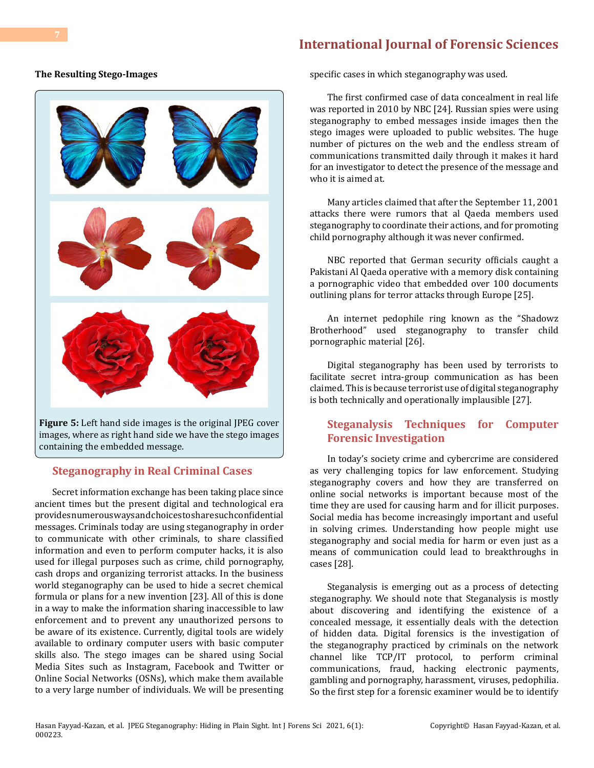#### **The Resulting Stego-Images**



images, where as right hand side we have the stego images containing the embedded message.

### **Steganography in Real Criminal Cases**

Secret information exchange has been taking place since ancient times but the present digital and technological era provides numerous ways and choices to share such confidential messages. Criminals today are using steganography in order to communicate with other criminals, to share classified information and even to perform computer hacks, it is also used for illegal purposes such as crime, child pornography, cash drops and organizing terrorist attacks. In the business world steganography can be used to hide a secret chemical formula or plans for a new invention [23]. All of this is done in a way to make the information sharing inaccessible to law enforcement and to prevent any unauthorized persons to be aware of its existence. Currently, digital tools are widely available to ordinary computer users with basic computer skills also. The stego images can be shared using Social Media Sites such as Instagram, Facebook and Twitter or Online Social Networks (OSNs), which make them available to a very large number of individuals. We will be presenting specific cases in which steganography was used.

The first confirmed case of data concealment in real life was reported in 2010 by NBC [24]. Russian spies were using steganography to embed messages inside images then the stego images were uploaded to public websites. The huge number of pictures on the web and the endless stream of communications transmitted daily through it makes it hard for an investigator to detect the presence of the message and who it is aimed at.

Many articles claimed that after the September 11, 2001 attacks there were rumors that al Qaeda members used steganography to coordinate their actions, and for promoting child pornography although it was never confirmed.

NBC reported that German security officials caught a Pakistani Al Qaeda operative with a memory disk containing a pornographic video that embedded over 100 documents outlining plans for terror attacks through Europe [25].

An internet pedophile ring known as the "Shadowz Brotherhood" used steganography to transfer child pornographic material [26].

Digital steganography has been used by terrorists to facilitate secret intra-group communication as has been claimed. This is because terrorist use of digital steganography is both technically and operationally implausible [27].

# **Steganalysis Techniques for Computer Forensic Investigation**

In today's society crime and cybercrime are considered as very challenging topics for law enforcement. Studying steganography covers and how they are transferred on online social networks is important because most of the time they are used for causing harm and for illicit purposes. Social media has become increasingly important and useful in solving crimes. Understanding how people might use steganography and social media for harm or even just as a means of communication could lead to breakthroughs in cases [28].

Steganalysis is emerging out as a process of detecting steganography. We should note that Steganalysis is mostly about discovering and identifying the existence of a concealed message, it essentially deals with the detection of hidden data. Digital forensics is the investigation of the steganography practiced by criminals on the network channel like TCP/IT protocol, to perform criminal communications, fraud, hacking electronic payments, gambling and pornography, harassment, viruses, pedophilia. So the first step for a forensic examiner would be to identify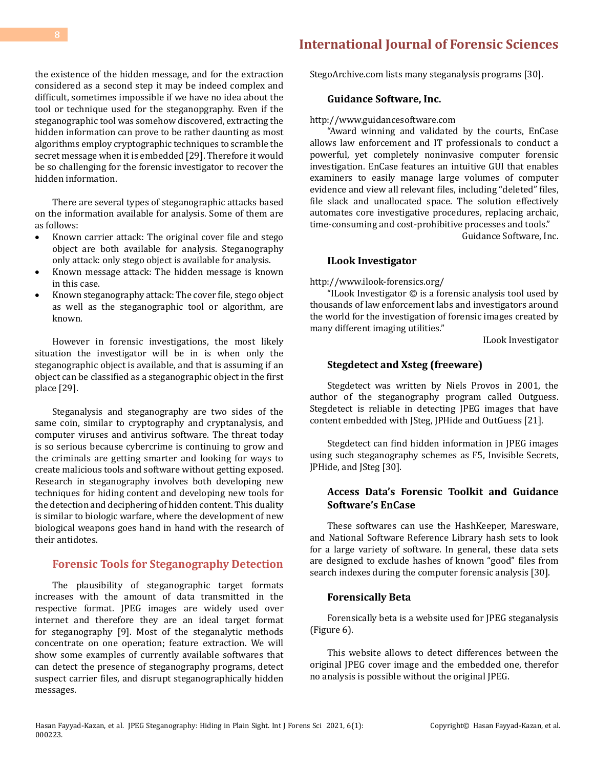the existence of the hidden message, and for the extraction considered as a second step it may be indeed complex and difficult, sometimes impossible if we have no idea about the tool or technique used for the steganopgraphy. Even if the steganographic tool was somehow discovered, extracting the hidden information can prove to be rather daunting as most algorithms employ cryptographic techniques to scramble the secret message when it is embedded [29]. Therefore it would be so challenging for the forensic investigator to recover the hidden information.

There are several types of steganographic attacks based on the information available for analysis. Some of them are as follows:

- Known carrier attack: The original cover file and stego object are both available for analysis. Steganography only attack: only stego object is available for analysis.
- • Known message attack: The hidden message is known in this case.
- Known steganography attack: The cover file, stego object as well as the steganographic tool or algorithm, are known.

However in forensic investigations, the most likely situation the investigator will be in is when only the steganographic object is available, and that is assuming if an object can be classified as a steganographic object in the first place [29].

Steganalysis and steganography are two sides of the same coin, similar to cryptography and cryptanalysis, and computer viruses and antivirus software. The threat today is so serious because cybercrime is continuing to grow and the criminals are getting smarter and looking for ways to create malicious tools and software without getting exposed. Research in steganography involves both developing new techniques for hiding content and developing new tools for the detection and deciphering of hidden content. This duality is similar to biologic warfare, where the development of new biological weapons goes hand in hand with the research of their antidotes.

#### **Forensic Tools for Steganography Detection**

The plausibility of steganographic target formats increases with the amount of data transmitted in the respective format. JPEG images are widely used over internet and therefore they are an ideal target format for steganography [9]. Most of the steganalytic methods concentrate on one operation; feature extraction. We will show some examples of currently available softwares that can detect the presence of steganography programs, detect suspect carrier files, and disrupt steganographically hidden messages.

# **[International Journal of Forensic Sciences](https://medwinpublishers.com/IJFSC/)**

StegoArchive.com lists many steganalysis programs [30].

#### **Guidance Software, Inc.**

[http://www.guidancesoftware.com](http://www.guidancesoftware.com/)

"Award winning and validated by the courts, EnCase allows law enforcement and IT professionals to conduct a powerful, yet completely noninvasive computer forensic investigation. EnCase features an intuitive GUI that enables examiners to easily manage large volumes of computer evidence and view all relevant files, including "deleted" files, file slack and unallocated space. The solution effectively automates core investigative procedures, replacing archaic, time-consuming and cost-prohibitive processes and tools."

Guidance Software, Inc.

#### **ILook Investigator**

<http://www.ilook-forensics.org/>

"ILook Investigator © is a forensic analysis tool used by thousands of law enforcement labs and investigators around the world for the investigation of forensic images created by many different imaging utilities."

ILook Investigator

#### **Stegdetect and Xsteg (freeware)**

Stegdetect was written by Niels Provos in 2001, the author of the steganography program called Outguess. Stegdetect is reliable in detecting JPEG images that have content embedded with JSteg, JPHide and OutGuess [21].

Stegdetect can find hidden information in JPEG images using such steganography schemes as F5, Invisible Secrets, JPHide, and JSteg [30].

## **Access Data's Forensic Toolkit and Guidance Software's EnCase**

These softwares can use the HashKeeper, Maresware, and National Software Reference Library hash sets to look for a large variety of software. In general, these data sets are designed to exclude hashes of known "good" files from search indexes during the computer forensic analysis [30].

#### **Forensically Beta**

Forensically beta is a website used for JPEG steganalysis (Figure 6).

This website allows to detect differences between the original JPEG cover image and the embedded one, therefor no analysis is possible without the original JPEG.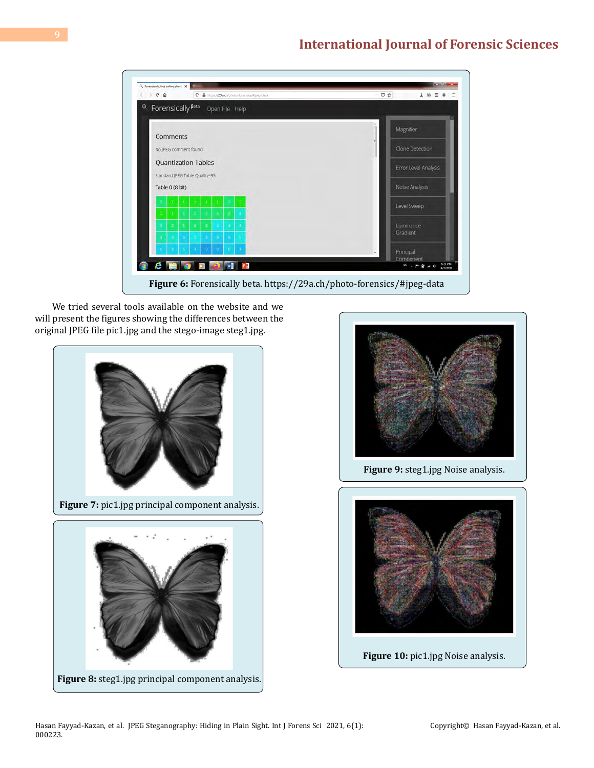| $\leftarrow$ $\rightarrow$ $C$ $\Omega$<br>D & https://29a.ch/photo-forensics/#jpeg-data                       | … ⊙☆                              |
|----------------------------------------------------------------------------------------------------------------|-----------------------------------|
| Forensically <sup>Beta</sup><br>$\circ$<br>Open File Help                                                      |                                   |
| Comments                                                                                                       | Magnifier                         |
| No JPEG comment found                                                                                          | Clone Detection                   |
| <b>Quantization Tables</b><br>Standard JPEG Table Quality=95                                                   | Error Level Analysis              |
| Table 0 (8 bit)                                                                                                | Noise Analysis                    |
| r<br>x<br>Ŧ<br>x<br>$\bar{z}$<br>$\overline{z}$<br>$\mathbf{z}$<br>$\mathbf{z}$<br>$\mathbb Z$<br>ä,<br>x<br>× | Level Sweep                       |
| ż<br>z<br>ž<br>٠<br>×<br>٠<br>٠                                                                                | Luminance<br>Gradient             |
| B<br>$\overline{\mathbf{a}}$<br>÷,<br>×<br>s<br>s<br>з                                                         |                                   |
| ٠<br>а                                                                                                         | Principal<br>Component            |
|                                                                                                                | 6/21 PM<br>2 . 下窗 4 秒<br>9/7/2020 |

We tried several tools available on the website and we will present the figures showing the differences between the original JPEG file pic1.jpg and the stego-image steg1.jpg.





**Figure 9:** steg1.jpg Noise analysis.

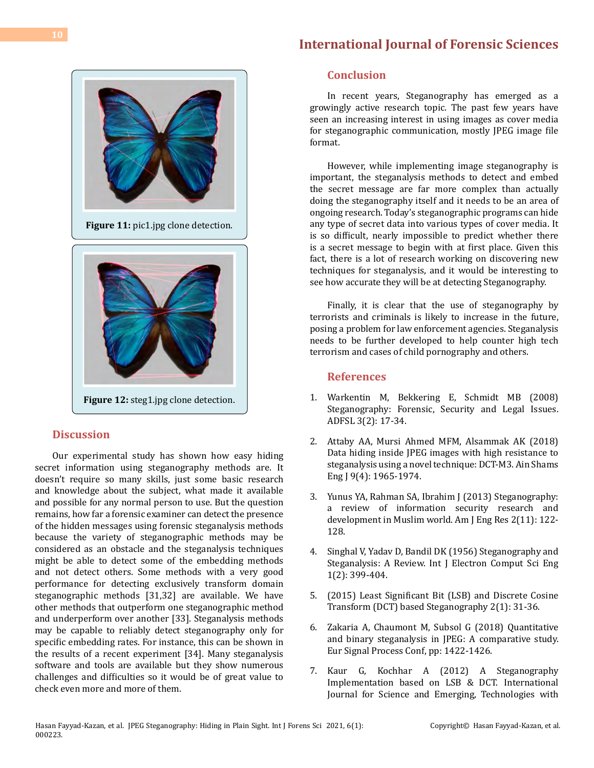

# **Discussion**

Our experimental study has shown how easy hiding secret information using steganography methods are. It doesn't require so many skills, just some basic research and knowledge about the subject, what made it available and possible for any normal person to use. But the question remains, how far a forensic examiner can detect the presence of the hidden messages using forensic steganalysis methods because the variety of steganographic methods may be considered as an obstacle and the steganalysis techniques might be able to detect some of the embedding methods and not detect others. Some methods with a very good performance for detecting exclusively transform domain steganographic methods [31,32] are available. We have other methods that outperform one steganographic method and underperform over another [33]. Steganalysis methods may be capable to reliably detect steganography only for specific embedding rates. For instance, this can be shown in the results of a recent experiment [34]. Many steganalysis software and tools are available but they show numerous challenges and difficulties so it would be of great value to check even more and more of them.

# **Conclusion**

In recent years, Steganography has emerged as a growingly active research topic. The past few years have seen an increasing interest in using images as cover media for steganographic communication, mostly JPEG image file format.

However, while implementing image steganography is important, the steganalysis methods to detect and embed the secret message are far more complex than actually doing the steganography itself and it needs to be an area of ongoing research. Today's steganographic programs can hide any type of secret data into various types of cover media. It is so difficult, nearly impossible to predict whether there is a secret message to begin with at first place. Given this fact, there is a lot of research working on discovering new techniques for steganalysis, and it would be interesting to see how accurate they will be at detecting Steganography.

Finally, it is clear that the use of steganography by terrorists and criminals is likely to increase in the future, posing a problem for law enforcement agencies. Steganalysis needs to be further developed to help counter high tech terrorism and cases of child pornography and others.

### **References**

- 1. [Warkentin M, Bekkering E, Schmidt MB \(2008\)](https://commons.erau.edu/jdfsl/vol3/iss2/2/) [Steganography: Forensic, Security and Legal Issues.](https://commons.erau.edu/jdfsl/vol3/iss2/2/) [ADFSL 3\(2\): 17-34.](https://commons.erau.edu/jdfsl/vol3/iss2/2/)
- 2. [Attaby AA, Mursi Ahmed MFM, Alsammak AK \(2018\)](https://www.sciencedirect.com/science/article/pii/S209044791730031X) [Data hiding inside JPEG images with high resistance to](https://www.sciencedirect.com/science/article/pii/S209044791730031X) [steganalysis using a novel technique: DCT-M3. Ain Shams](https://www.sciencedirect.com/science/article/pii/S209044791730031X) [Eng J 9\(4\): 1965-1974.](https://www.sciencedirect.com/science/article/pii/S209044791730031X)
- 3. [Yunus YA, Rahman SA, Ibrahim J \(2013\) Steganography:](http://www.ajer.org/papers/v2(11)/O0211122128.pdf)  [a review of information security research and](http://www.ajer.org/papers/v2(11)/O0211122128.pdf) [development in Muslim world. Am J Eng Res 2\(11\): 122-](http://www.ajer.org/papers/v2(11)/O0211122128.pdf) [128.](http://www.ajer.org/papers/v2(11)/O0211122128.pdf)
- 4. [Singhal V, Yadav D, Bandil DK \(1956\) Steganography and](http://citeseerx.ist.psu.edu/viewdoc/download;jsessionid=C43B5FE3FB919B31EDEF43C0D3B0E61E?doi=10.1.1.227.3599&rep=rep1&type=pdf)  [Steganalysis: A Review. Int J Electron Comput Sci Eng](http://citeseerx.ist.psu.edu/viewdoc/download;jsessionid=C43B5FE3FB919B31EDEF43C0D3B0E61E?doi=10.1.1.227.3599&rep=rep1&type=pdf)  [1\(2\): 399-404.](http://citeseerx.ist.psu.edu/viewdoc/download;jsessionid=C43B5FE3FB919B31EDEF43C0D3B0E61E?doi=10.1.1.227.3599&rep=rep1&type=pdf)
- 5. (2015) Least Significant Bit (LSB) and Discrete Cosine Transform (DCT) based Steganography 2(1): 31-36.
- 6. [Zakaria A, Chaumont M, Subsol G \(2018\) Quantitative](https://hal-lirmm.ccsd.cnrs.fr/lirmm-01884006/file/EUSIPCO-2018_ZAKARIA_CHAUMONT_SUBSOL_Quantitative_Binary_Steganalysis_JPEG.pdf)  [and binary steganalysis in JPEG: A comparative study.](https://hal-lirmm.ccsd.cnrs.fr/lirmm-01884006/file/EUSIPCO-2018_ZAKARIA_CHAUMONT_SUBSOL_Quantitative_Binary_Steganalysis_JPEG.pdf)  [Eur Signal Process Conf, pp: 1422-1426.](https://hal-lirmm.ccsd.cnrs.fr/lirmm-01884006/file/EUSIPCO-2018_ZAKARIA_CHAUMONT_SUBSOL_Quantitative_Binary_Steganalysis_JPEG.pdf)
- 7. [Kaur G, Kochhar A \(2012\) A Steganography](https://www.scribd.com/document/217839106/Paper-4-35-41) [Implementation based on LSB & DCT.](https://www.scribd.com/document/217839106/Paper-4-35-41) International [Journal for Science and Emerging, Technologies with](https://www.scribd.com/document/217839106/Paper-4-35-41)